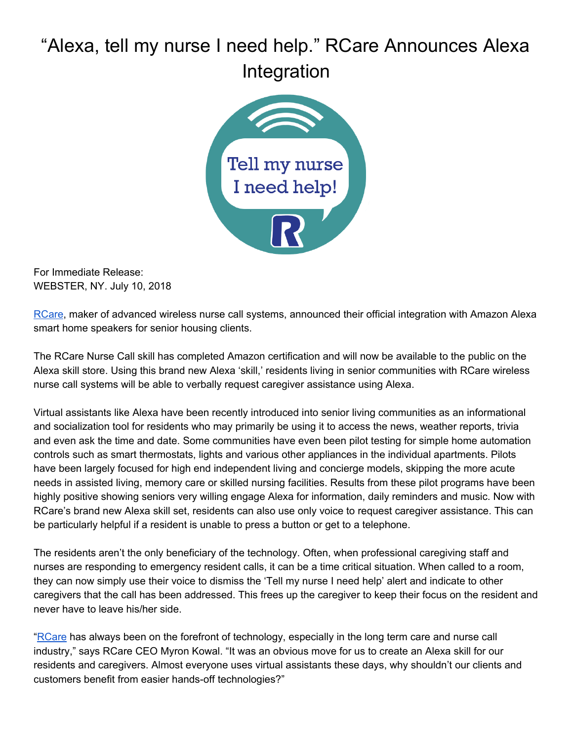## "Alexa, tell my nurse I need help." RCare Announces Alexa Integration



For Immediate Release: WEBSTER, NY. July 10, 2018

[RCare,](http://rcareinc.com/) maker of advanced wireless nurse call systems, announced their official integration with Amazon Alexa smart home speakers for senior housing clients.

The RCare Nurse Call skill has completed Amazon certification and will now be available to the public on the Alexa skill store. Using this brand new Alexa 'skill,' residents living in senior communities with RCare wireless nurse call systems will be able to verbally request caregiver assistance using Alexa.

Virtual assistants like Alexa have been recently introduced into senior living communities as an informational and socialization tool for residents who may primarily be using it to access the news, weather reports, trivia and even ask the time and date. Some communities have even been pilot testing for simple home automation controls such as smart thermostats, lights and various other appliances in the individual apartments. Pilots have been largely focused for high end independent living and concierge models, skipping the more acute needs in assisted living, memory care or skilled nursing facilities. Results from these pilot programs have been highly positive showing seniors very willing engage Alexa for information, daily reminders and music. Now with RCare's brand new Alexa skill set, residents can also use only voice to request caregiver assistance. This can be particularly helpful if a resident is unable to press a button or get to a telephone.

The residents aren't the only beneficiary of the technology. Often, when professional caregiving staff and nurses are responding to emergency resident calls, it can be a time critical situation. When called to a room, they can now simply use their voice to dismiss the 'Tell my nurse I need help' alert and indicate to other caregivers that the call has been addressed. This frees up the caregiver to keep their focus on the resident and never have to leave his/her side.

"[RCare](http://rcareinc.com/) has always been on the forefront of technology, especially in the long term care and nurse call industry," says RCare CEO Myron Kowal. "It was an obvious move for us to create an Alexa skill for our residents and caregivers. Almost everyone uses virtual assistants these days, why shouldn't our clients and customers benefit from easier hands-off technologies?"